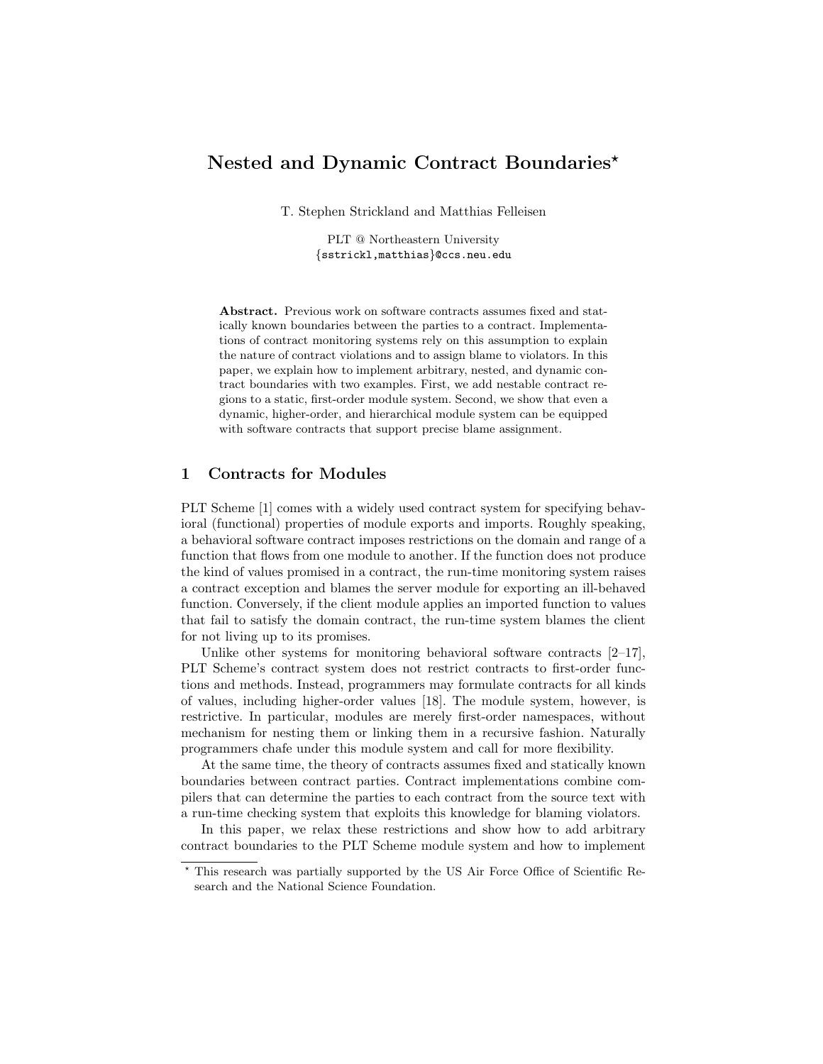# Nested and Dynamic Contract Boundaries<sup>\*</sup>

T. Stephen Strickland and Matthias Felleisen

PLT @ Northeastern University {sstrickl,matthias}@ccs.neu.edu

Abstract. Previous work on software contracts assumes fixed and statically known boundaries between the parties to a contract. Implementations of contract monitoring systems rely on this assumption to explain the nature of contract violations and to assign blame to violators. In this paper, we explain how to implement arbitrary, nested, and dynamic contract boundaries with two examples. First, we add nestable contract regions to a static, first-order module system. Second, we show that even a dynamic, higher-order, and hierarchical module system can be equipped with software contracts that support precise blame assignment.

# 1 Contracts for Modules

PLT Scheme [1] comes with a widely used contract system for specifying behavioral (functional) properties of module exports and imports. Roughly speaking, a behavioral software contract imposes restrictions on the domain and range of a function that flows from one module to another. If the function does not produce the kind of values promised in a contract, the run-time monitoring system raises a contract exception and blames the server module for exporting an ill-behaved function. Conversely, if the client module applies an imported function to values that fail to satisfy the domain contract, the run-time system blames the client for not living up to its promises.

Unlike other systems for monitoring behavioral software contracts  $[2-17]$ , PLT Scheme's contract system does not restrict contracts to first-order functions and methods. Instead, programmers may formulate contracts for all kinds of values, including higher-order values [18]. The module system, however, is restrictive. In particular, modules are merely first-order namespaces, without mechanism for nesting them or linking them in a recursive fashion. Naturally programmers chafe under this module system and call for more flexibility.

At the same time, the theory of contracts assumes fixed and statically known boundaries between contract parties. Contract implementations combine compilers that can determine the parties to each contract from the source text with a run-time checking system that exploits this knowledge for blaming violators.

In this paper, we relax these restrictions and show how to add arbitrary contract boundaries to the PLT Scheme module system and how to implement

<sup>?</sup> This research was partially supported by the US Air Force Office of Scientific Research and the National Science Foundation.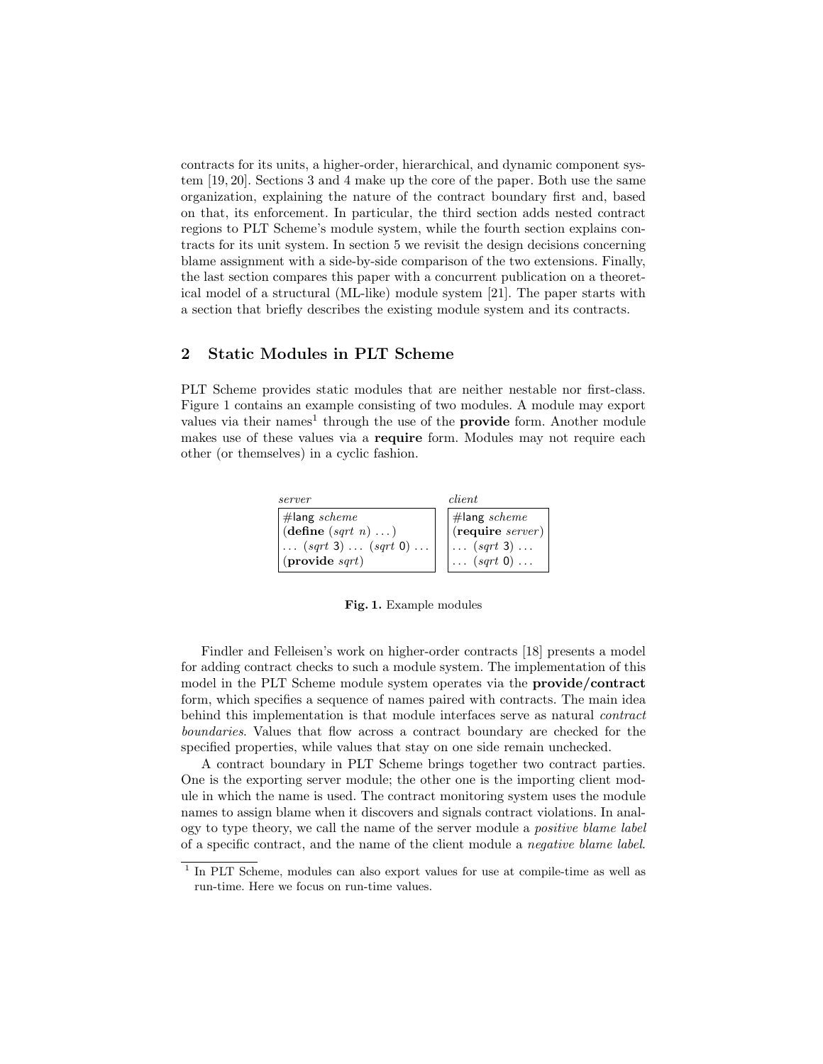contracts for its units, a higher-order, hierarchical, and dynamic component system [19, 20]. Sections 3 and 4 make up the core of the paper. Both use the same organization, explaining the nature of the contract boundary first and, based on that, its enforcement. In particular, the third section adds nested contract regions to PLT Scheme's module system, while the fourth section explains contracts for its unit system. In section 5 we revisit the design decisions concerning blame assignment with a side-by-side comparison of the two extensions. Finally, the last section compares this paper with a concurrent publication on a theoretical model of a structural (ML-like) module system [21]. The paper starts with a section that briefly describes the existing module system and its contracts.

# 2 Static Modules in PLT Scheme

PLT Scheme provides static modules that are neither nestable nor first-class. Figure 1 contains an example consisting of two modules. A module may export values via their names<sup>1</sup> through the use of the **provide** form. Another module makes use of these values via a require form. Modules may not require each other (or themselves) in a cyclic fashion.

| server                                       | client                     |
|----------------------------------------------|----------------------------|
| $#$ lang scheme                              | $#$ lang scheme            |
| (define $(sqrt n) \dots)$                    | $\vert$ (require server)   |
| $\ldots$ (sqrt 3) $\ldots$ (sqrt 0) $\ldots$ | $\ldots$ (sqrt 3) $\ldots$ |
| $\sqrt{p}$ (provide sqrt)                    | $\cdots$ (sqrt 0) $\cdots$ |

Fig. 1. Example modules

Findler and Felleisen's work on higher-order contracts [18] presents a model for adding contract checks to such a module system. The implementation of this model in the PLT Scheme module system operates via the provide/contract form, which specifies a sequence of names paired with contracts. The main idea behind this implementation is that module interfaces serve as natural contract boundaries. Values that flow across a contract boundary are checked for the specified properties, while values that stay on one side remain unchecked.

A contract boundary in PLT Scheme brings together two contract parties. One is the exporting server module; the other one is the importing client module in which the name is used. The contract monitoring system uses the module names to assign blame when it discovers and signals contract violations. In analogy to type theory, we call the name of the server module a positive blame label of a specific contract, and the name of the client module a negative blame label.

<sup>&</sup>lt;sup>1</sup> In PLT Scheme, modules can also export values for use at compile-time as well as run-time. Here we focus on run-time values.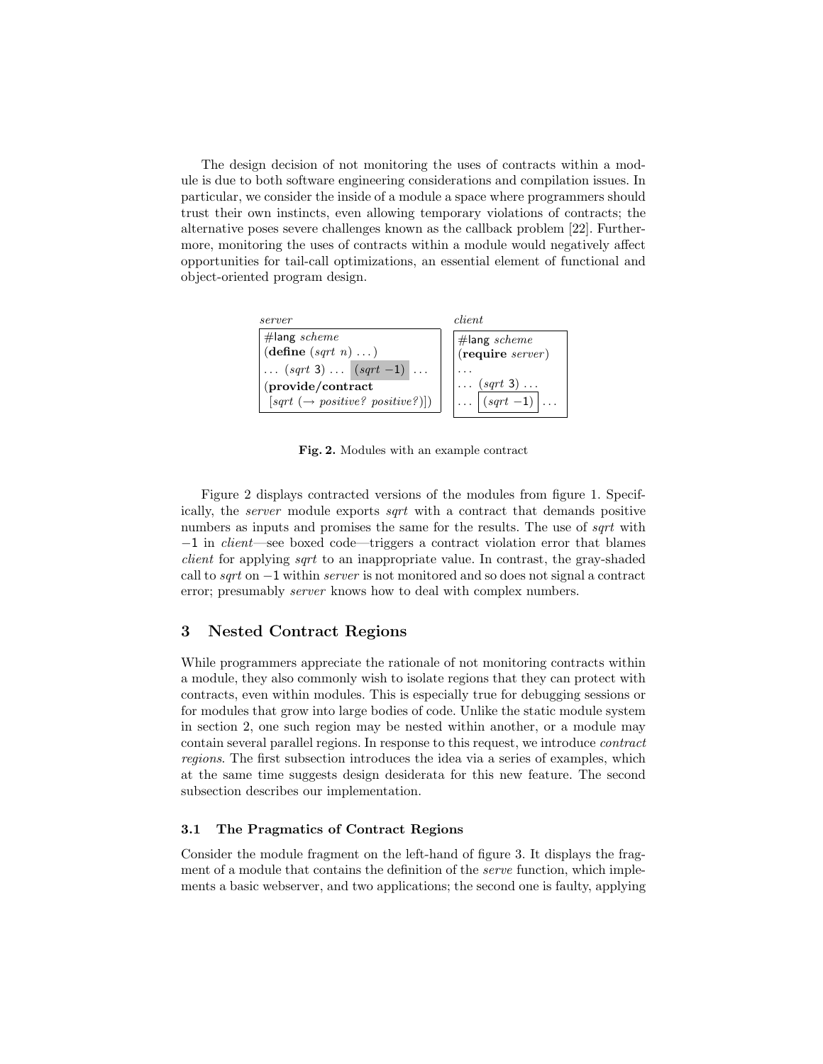The design decision of not monitoring the uses of contracts within a module is due to both software engineering considerations and compilation issues. In particular, we consider the inside of a module a space where programmers should trust their own instincts, even allowing temporary violations of contracts; the alternative poses severe challenges known as the callback problem [22]. Furthermore, monitoring the uses of contracts within a module would negatively affect opportunities for tail-call optimizations, an essential element of functional and object-oriented program design.



Fig. 2. Modules with an example contract

Figure 2 displays contracted versions of the modules from figure 1. Specifically, the server module exports sqrt with a contract that demands positive numbers as inputs and promises the same for the results. The use of *sqrt* with −1 in client—see boxed code—triggers a contract violation error that blames client for applying sqrt to an inappropriate value. In contrast, the gray-shaded call to sqrt on −1 within server is not monitored and so does not signal a contract error; presumably server knows how to deal with complex numbers.

# 3 Nested Contract Regions

While programmers appreciate the rationale of not monitoring contracts within a module, they also commonly wish to isolate regions that they can protect with contracts, even within modules. This is especially true for debugging sessions or for modules that grow into large bodies of code. Unlike the static module system in section 2, one such region may be nested within another, or a module may contain several parallel regions. In response to this request, we introduce contract regions. The first subsection introduces the idea via a series of examples, which at the same time suggests design desiderata for this new feature. The second subsection describes our implementation.

### 3.1 The Pragmatics of Contract Regions

Consider the module fragment on the left-hand of figure 3. It displays the fragment of a module that contains the definition of the serve function, which implements a basic webserver, and two applications; the second one is faulty, applying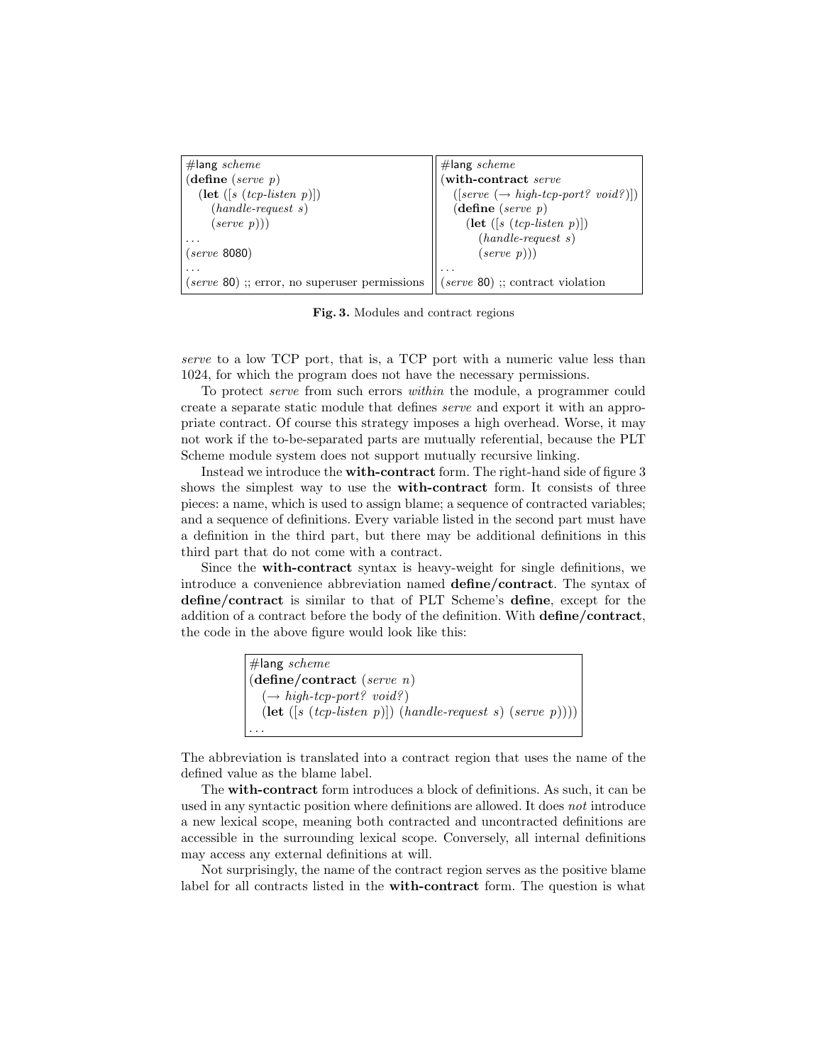| $#$ lang scheme                                | $#$ lang scheme                                |
|------------------------------------------------|------------------------------------------------|
| $(\text{define } (serve \ p)$                  | $(with-contract\; serve$                       |
| $(\text{let } ([s (tcp-listen p)])$            | $([serve (\rightarrow high-top-port? void?)])$ |
| $(handle\text{-}request\ s)$                   | (define (serve $p$ )                           |
| (serve p)))                                    | $(\text{let } ([s (tcp-listen p)])$            |
|                                                | $(handle\text{-}request\ s)$                   |
| (serve 8080)                                   | (serve p))                                     |
|                                                |                                                |
| $(serve 80)$ ; error, no superuser permissions | $(serve 80)$ ;; contract violation             |

Fig. 3. Modules and contract regions

serve to a low TCP port, that is, a TCP port with a numeric value less than 1024, for which the program does not have the necessary permissions.

To protect serve from such errors within the module, a programmer could create a separate static module that defines serve and export it with an appropriate contract. Of course this strategy imposes a high overhead. Worse, it may not work if the to-be-separated parts are mutually referential, because the PLT Scheme module system does not support mutually recursive linking.

Instead we introduce the with-contract form. The right-hand side of figure 3 shows the simplest way to use the with-contract form. It consists of three pieces: a name, which is used to assign blame; a sequence of contracted variables; and a sequence of definitions. Every variable listed in the second part must have a definition in the third part, but there may be additional definitions in this third part that do not come with a contract.

Since the with-contract syntax is heavy-weight for single definitions, we introduce a convenience abbreviation named define/contract. The syntax of define/contract is similar to that of PLT Scheme's define, except for the addition of a contract before the body of the definition. With define/contract, the code in the above figure would look like this:

| $#$ lang scheme                                                       |
|-----------------------------------------------------------------------|
| $(\text{define}/\text{contract}(serve \ n))$                          |
| $(\rightarrow high\text{-}top\text{-}port? \ void?)$                  |
| $(\textbf{let } ([s (tcp-listen p)]) (handle-request s) (serve p))))$ |
|                                                                       |

The abbreviation is translated into a contract region that uses the name of the defined value as the blame label.

The with-contract form introduces a block of definitions. As such, it can be used in any syntactic position where definitions are allowed. It does not introduce a new lexical scope, meaning both contracted and uncontracted definitions are accessible in the surrounding lexical scope. Conversely, all internal definitions may access any external definitions at will.

Not surprisingly, the name of the contract region serves as the positive blame label for all contracts listed in the with-contract form. The question is what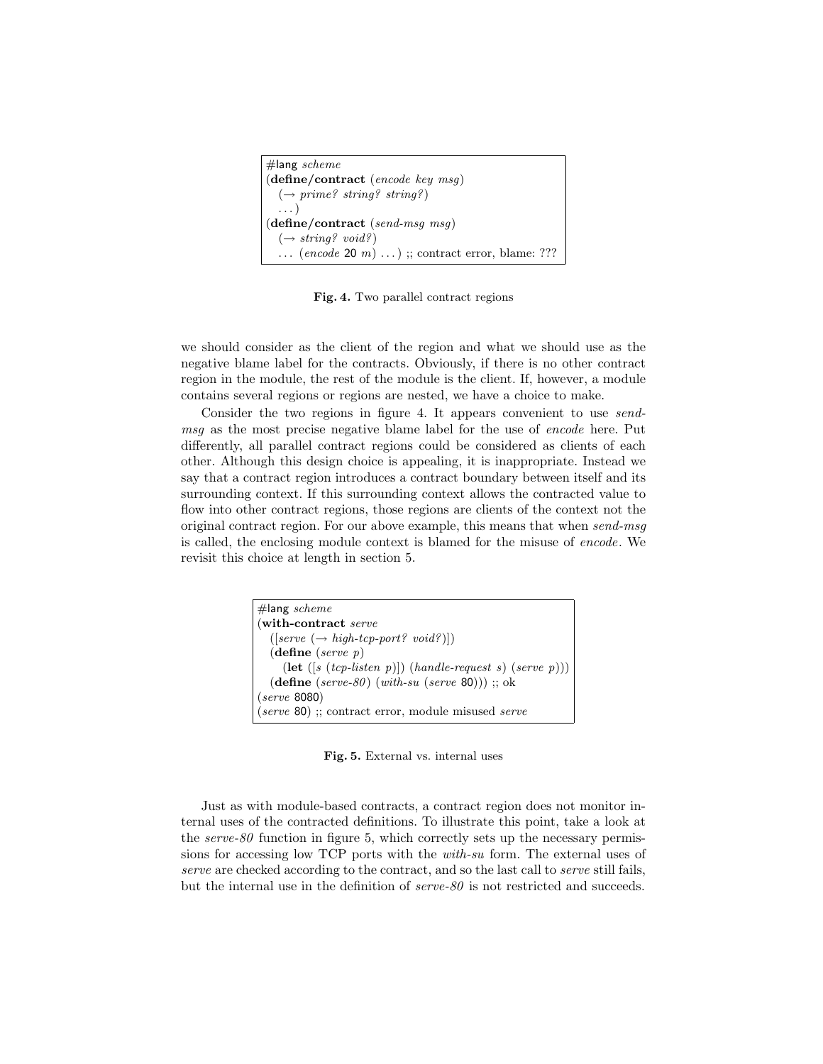```
#lang scheme
(define/contract (encode key msg)
  (\rightarrow prime? string? string?). . . )
(define/contract (send-msg msg)
  (\rightarrow string? void?)
  \ldots (encode 20 m) \ldots) ;; contract error, blame: ???
```
Fig. 4. Two parallel contract regions

we should consider as the client of the region and what we should use as the negative blame label for the contracts. Obviously, if there is no other contract region in the module, the rest of the module is the client. If, however, a module contains several regions or regions are nested, we have a choice to make.

Consider the two regions in figure 4. It appears convenient to use sendmsg as the most precise negative blame label for the use of encode here. Put differently, all parallel contract regions could be considered as clients of each other. Although this design choice is appealing, it is inappropriate. Instead we say that a contract region introduces a contract boundary between itself and its surrounding context. If this surrounding context allows the contracted value to flow into other contract regions, those regions are clients of the context not the original contract region. For our above example, this means that when send-msg is called, the enclosing module context is blamed for the misuse of encode. We revisit this choice at length in section 5.

| $#$ lang scheme                                                      |
|----------------------------------------------------------------------|
| (with-contract serve                                                 |
| $([serve (\rightarrow high-top-port? void?)])$                       |
| $(\text{define } (serve \ p)$                                        |
| $(\textbf{let } ([s (tcp-listen p)]) (handle-request s) (serve p)))$ |
| $(\text{define } (serve-80) \ (with-su \ (serve 80)))$ ;; ok         |
| (serve 8080)                                                         |
| $\vert$ (serve 80) ;; contract error, module misused serve           |

Fig. 5. External vs. internal uses

Just as with module-based contracts, a contract region does not monitor internal uses of the contracted definitions. To illustrate this point, take a look at the  $serve-80$  function in figure 5, which correctly sets up the necessary permissions for accessing low TCP ports with the with-su form. The external uses of serve are checked according to the contract, and so the last call to *serve* still fails, but the internal use in the definition of  $serve-80$  is not restricted and succeeds.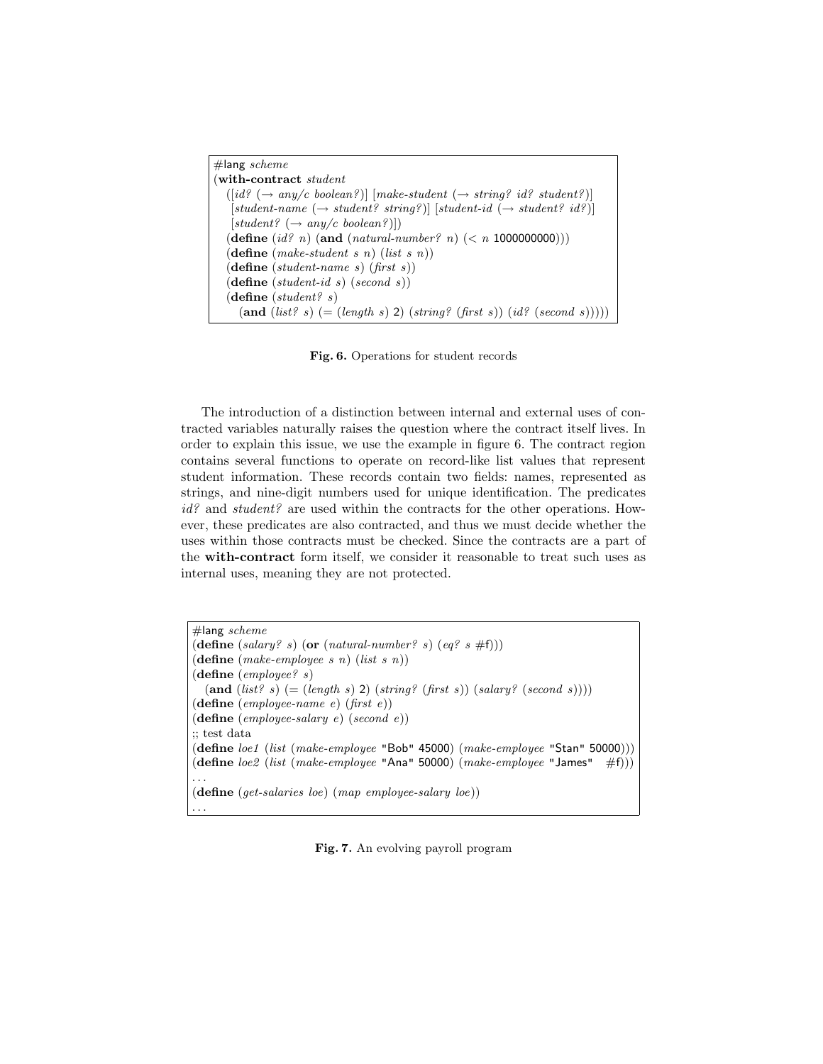| $#$ lang scheme                                                                                           |  |  |
|-----------------------------------------------------------------------------------------------------------|--|--|
| (with-contract student)                                                                                   |  |  |
| $([id? \ (\rightarrow any/c \ boolean?) \ ]$ [make-student ( $\rightarrow string? \ id? \ student?)$ ]    |  |  |
| $[student\text{-}name~(\rightarrow student? \ string?)] [student\text{-}id~(\rightarrow student? \ id?)]$ |  |  |
| $[student? (\rightarrow any/c\ boolean?)])$                                                               |  |  |
| (define $(id? n)$ (and $(natural\text{-}number? n)$ ) (< n 1000000000)))                                  |  |  |
| $(\text{define } (make-student s n) (list s n))$                                                          |  |  |
| $(\text{define } (student\text{-}name s) \text{ (first s)})$                                              |  |  |
| $(\text{define } (student \text{-} id \text{ s}) \text{ (second \text{ s})})$                             |  |  |
| $(\text{define } (student? s)$                                                                            |  |  |
| $(\text{and } (list? s) (= (length s) 2) (string? (first s)) (id? (second s))))$                          |  |  |

Fig. 6. Operations for student records

The introduction of a distinction between internal and external uses of contracted variables naturally raises the question where the contract itself lives. In order to explain this issue, we use the example in figure 6. The contract region contains several functions to operate on record-like list values that represent student information. These records contain two fields: names, represented as strings, and nine-digit numbers used for unique identification. The predicates id? and student? are used within the contracts for the other operations. However, these predicates are also contracted, and thus we must decide whether the uses within those contracts must be checked. Since the contracts are a part of the with-contract form itself, we consider it reasonable to treat such uses as internal uses, meaning they are not protected.

 $#$ lang scheme (define (salary? s) (or (natural-number? s) (eq? s #f))) (define  $(make-employee s n)$  (list s n)) (define (employee? s) (and (list? s) (= (length s) 2) (string? (first s)) (salary? (second s)))) (define (employee-name e) (first e)) (define (employee-salary e) (second e)) ;; test data (define loe1 (list (make-employee "Bob" 45000) (make-employee "Stan" 50000))) (define loe2 (list (make-employee "Ana" 50000) (make-employee "James"  $\#f$ )) . . . (define (get-salaries loe) (map employee-salary loe)) . . .

Fig. 7. An evolving payroll program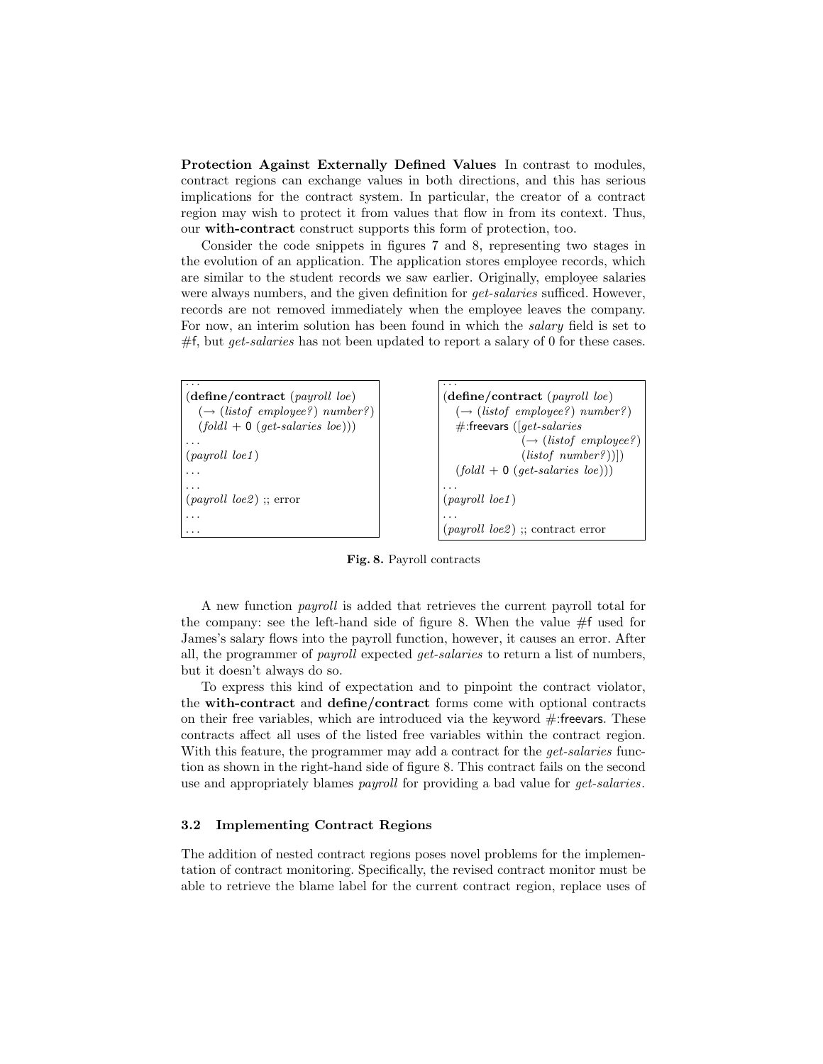Protection Against Externally Defined Values In contrast to modules, contract regions can exchange values in both directions, and this has serious implications for the contract system. In particular, the creator of a contract region may wish to protect it from values that flow in from its context. Thus, our with-contract construct supports this form of protection, too.

Consider the code snippets in figures 7 and 8, representing two stages in the evolution of an application. The application stores employee records, which are similar to the student records we saw earlier. Originally, employee salaries were always numbers, and the given definition for *get-salaries* sufficed. However, records are not removed immediately when the employee leaves the company. For now, an interim solution has been found in which the salary field is set to  $#f$ , but *get-salaries* has not been updated to report a salary of 0 for these cases.

```
. . .
(define/contract (payroll loe)
  (\rightarrow (listof employee?) number?)
  (foldl + 0 (get-salaries loe))). . .
(payroll loe1 )
. . .
. . .
(payroll\;loe2) ;; error
. . .
. . .
                                                         . . .
                                                         (define/contract (payroll loe)
                                                           (\rightarrow (listof employee?) number?)
                                                           #:freevars ([get-salaries
                                                                          (\rightarrow (listof employee?)
                                                                          (listof number?))](foldl + 0 (get-salaries loe))). . .
                                                         (payroll loe1 )
                                                         . . .
                                                         (payroll \, loe2); contract error
```
Fig. 8. Payroll contracts

A new function payroll is added that retrieves the current payroll total for the company: see the left-hand side of figure 8. When the value  $#f$  used for James's salary flows into the payroll function, however, it causes an error. After all, the programmer of payroll expected get-salaries to return a list of numbers, but it doesn't always do so.

To express this kind of expectation and to pinpoint the contract violator, the with-contract and define/contract forms come with optional contracts on their free variables, which are introduced via the keyword  $\#$ :freevars. These contracts affect all uses of the listed free variables within the contract region. With this feature, the programmer may add a contract for the *get-salaries* function as shown in the right-hand side of figure 8. This contract fails on the second use and appropriately blames *payroll* for providing a bad value for *get-salaries*.

#### 3.2 Implementing Contract Regions

The addition of nested contract regions poses novel problems for the implementation of contract monitoring. Specifically, the revised contract monitor must be able to retrieve the blame label for the current contract region, replace uses of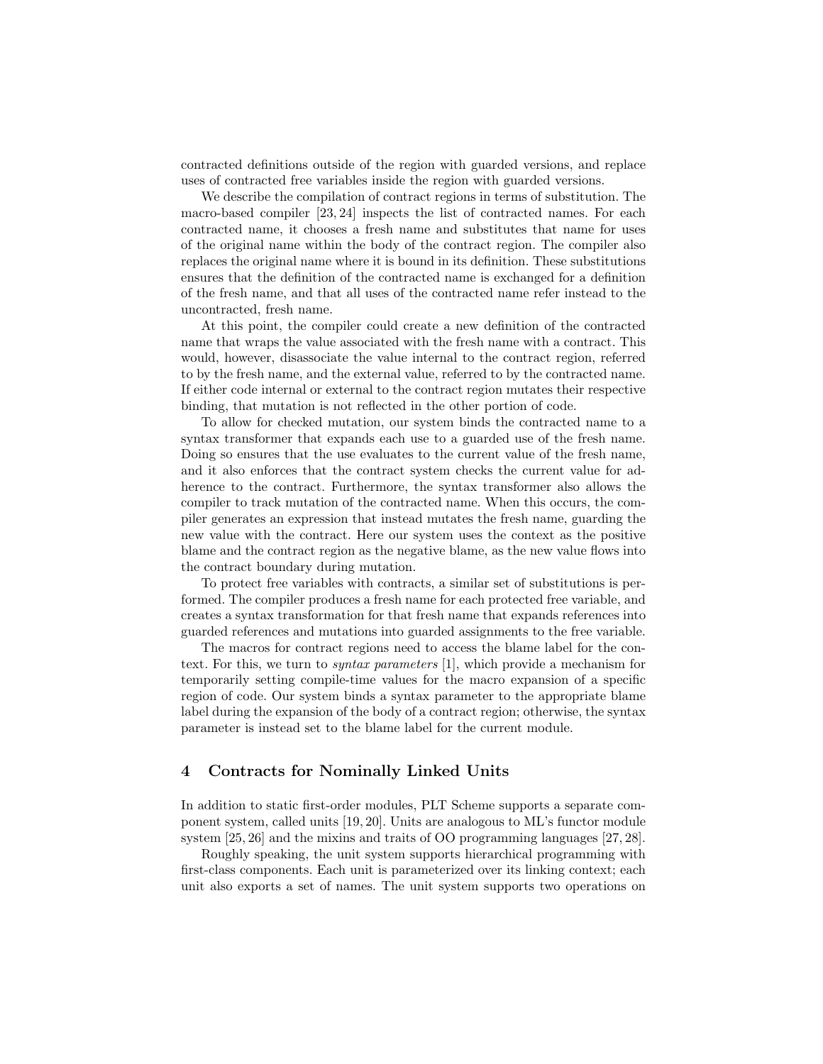contracted definitions outside of the region with guarded versions, and replace uses of contracted free variables inside the region with guarded versions.

We describe the compilation of contract regions in terms of substitution. The macro-based compiler [23, 24] inspects the list of contracted names. For each contracted name, it chooses a fresh name and substitutes that name for uses of the original name within the body of the contract region. The compiler also replaces the original name where it is bound in its definition. These substitutions ensures that the definition of the contracted name is exchanged for a definition of the fresh name, and that all uses of the contracted name refer instead to the uncontracted, fresh name.

At this point, the compiler could create a new definition of the contracted name that wraps the value associated with the fresh name with a contract. This would, however, disassociate the value internal to the contract region, referred to by the fresh name, and the external value, referred to by the contracted name. If either code internal or external to the contract region mutates their respective binding, that mutation is not reflected in the other portion of code.

To allow for checked mutation, our system binds the contracted name to a syntax transformer that expands each use to a guarded use of the fresh name. Doing so ensures that the use evaluates to the current value of the fresh name, and it also enforces that the contract system checks the current value for adherence to the contract. Furthermore, the syntax transformer also allows the compiler to track mutation of the contracted name. When this occurs, the compiler generates an expression that instead mutates the fresh name, guarding the new value with the contract. Here our system uses the context as the positive blame and the contract region as the negative blame, as the new value flows into the contract boundary during mutation.

To protect free variables with contracts, a similar set of substitutions is performed. The compiler produces a fresh name for each protected free variable, and creates a syntax transformation for that fresh name that expands references into guarded references and mutations into guarded assignments to the free variable.

The macros for contract regions need to access the blame label for the context. For this, we turn to syntax parameters [1], which provide a mechanism for temporarily setting compile-time values for the macro expansion of a specific region of code. Our system binds a syntax parameter to the appropriate blame label during the expansion of the body of a contract region; otherwise, the syntax parameter is instead set to the blame label for the current module.

# 4 Contracts for Nominally Linked Units

In addition to static first-order modules, PLT Scheme supports a separate component system, called units [19, 20]. Units are analogous to ML's functor module system [25, 26] and the mixins and traits of OO programming languages [27, 28].

Roughly speaking, the unit system supports hierarchical programming with first-class components. Each unit is parameterized over its linking context; each unit also exports a set of names. The unit system supports two operations on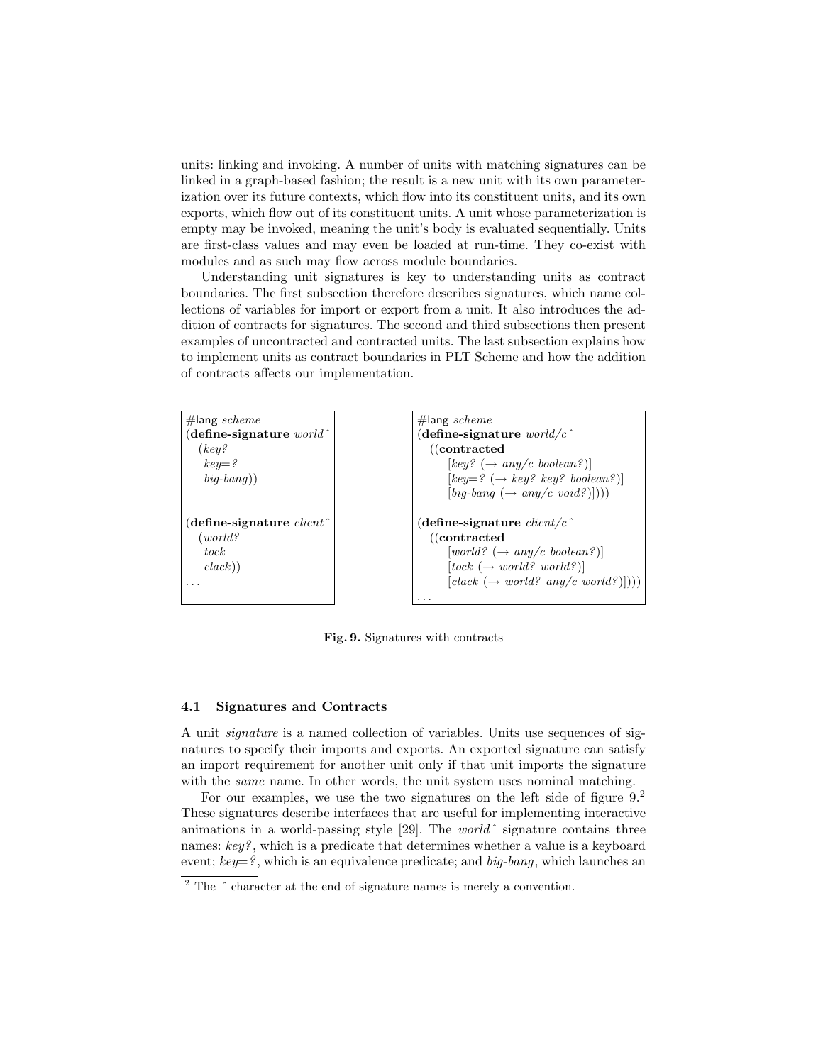units: linking and invoking. A number of units with matching signatures can be linked in a graph-based fashion; the result is a new unit with its own parameterization over its future contexts, which flow into its constituent units, and its own exports, which flow out of its constituent units. A unit whose parameterization is empty may be invoked, meaning the unit's body is evaluated sequentially. Units are first-class values and may even be loaded at run-time. They co-exist with modules and as such may flow across module boundaries.

Understanding unit signatures is key to understanding units as contract boundaries. The first subsection therefore describes signatures, which name collections of variables for import or export from a unit. It also introduces the addition of contracts for signatures. The second and third subsections then present examples of uncontracted and contracted units. The last subsection explains how to implement units as contract boundaries in PLT Scheme and how the addition of contracts affects our implementation.



```
#lang scheme
(define-signature world/c^
  ((contracted
      [key? \ (\rightarrow any/c \ boolean?)][key=? (\rightarrow key? key? boolean?)][big\rightarrow any/c \ void?(define-signature client/c ^
  ((contracted
       [world? (\rightarrow any/c\ boolean?)][tock (\rightarrow world? world?)]\lceil \mathit{click} \rangle \rightarrow \mathit{world? any/c world?}). . .
```
Fig. 9. Signatures with contracts

#### 4.1 Signatures and Contracts

A unit signature is a named collection of variables. Units use sequences of signatures to specify their imports and exports. An exported signature can satisfy an import requirement for another unit only if that unit imports the signature with the *same* name. In other words, the unit system uses nominal matching.

For our examples, we use the two signatures on the left side of figure 9.<sup>2</sup> These signatures describe interfaces that are useful for implementing interactive animations in a world-passing style [29]. The *world*  $\hat{\ }$  signature contains three names: key?, which is a predicate that determines whether a value is a keyboard event;  $key=$ ?, which is an equivalence predicate; and  $big-banq$ , which launches an

 $^2$  The  $\,$   $^{\circ}$  character at the end of signature names is merely a convention.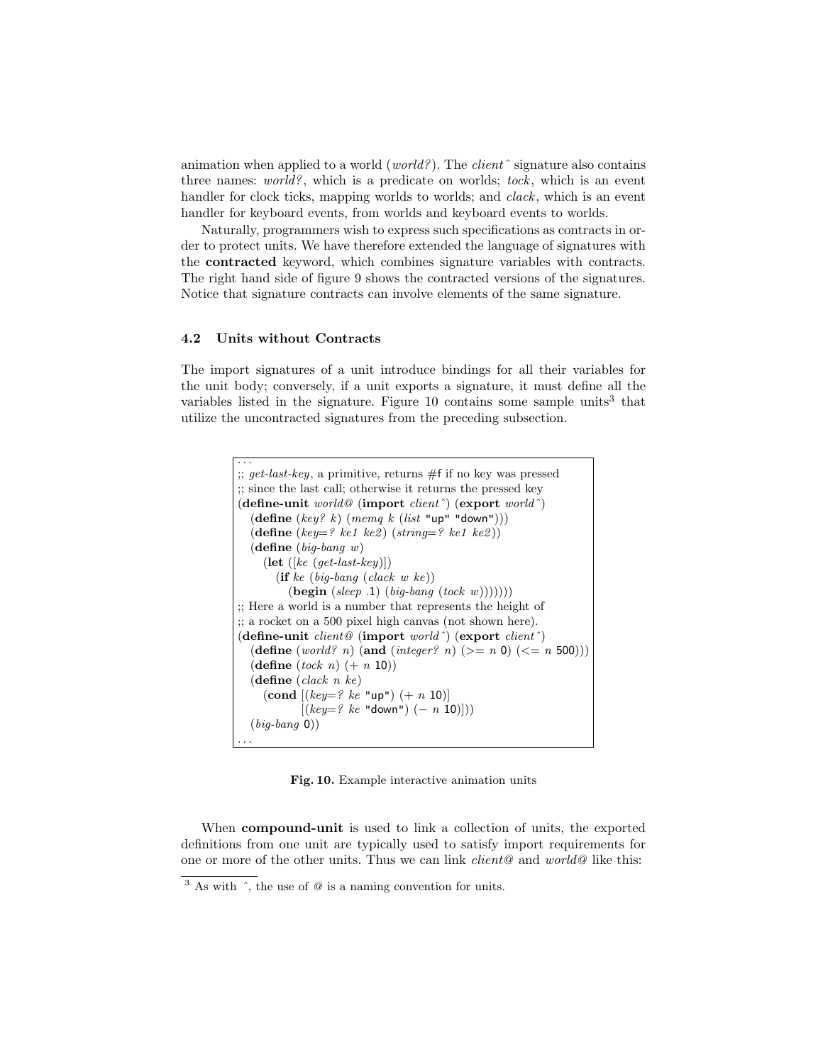animation when applied to a world (*world?*). The *client*  $\hat{\ }$  signature also contains three names: world?, which is a predicate on worlds; tock, which is an event handler for clock ticks, mapping worlds to worlds; and *clack*, which is an event handler for keyboard events, from worlds and keyboard events to worlds.

Naturally, programmers wish to express such specifications as contracts in order to protect units. We have therefore extended the language of signatures with the contracted keyword, which combines signature variables with contracts. The right hand side of figure 9 shows the contracted versions of the signatures. Notice that signature contracts can involve elements of the same signature.

## 4.2 Units without Contracts

The import signatures of a unit introduce bindings for all their variables for the unit body; conversely, if a unit exports a signature, it must define all the variables listed in the signature. Figure  $10$  contains some sample units<sup>3</sup> that utilize the uncontracted signatures from the preceding subsection.

```
. . .
\gamma; get-last-key, a primitive, returns #f if no key was pressed
;; since the last call; otherwise it returns the pressed key
(define-unit world@ (import clientˆ) (export worldˆ)
  (\text{define } (key? k) \ (memq k \ (list "up" "down")) )(define (key=\nvert k\cdot e2) (string=\nvert k\cdot e1 \leq k\cdot e2))
  (define (big-bang w)
     (\text{let } ([ke (get-last-key)])(if ke (big-bang (clack w ke))(\text{begin } (sleep .1) (big-band (tock w))))));; Here a world is a number that represents the height of
;; a rocket on a 500 pixel high canvas (not shown here).
(define-unit client@ (import worldˆ) (export clientˆ)
  (define (world? n) (and (integer? n) (>= n 0) (<= n 500)))
  (\text{define } (tock \ n) (+ \ n \ 10))(define (clack n ke)
     (cond [(key=? \ ke \ "up") \ (+ \ n \ 10)][(key=? \ ke \ "down" ) (- n 10)])(big-bang 0)). . .
```
Fig. 10. Example interactive animation units

When compound-unit is used to link a collection of units, the exported definitions from one unit are typically used to satisfy import requirements for one or more of the other units. Thus we can link *client*@ and *world*@ like this:

<sup>&</sup>lt;sup>3</sup> As with  $\hat{\ }$ , the use of  $\hat{\ }$  is a naming convention for units.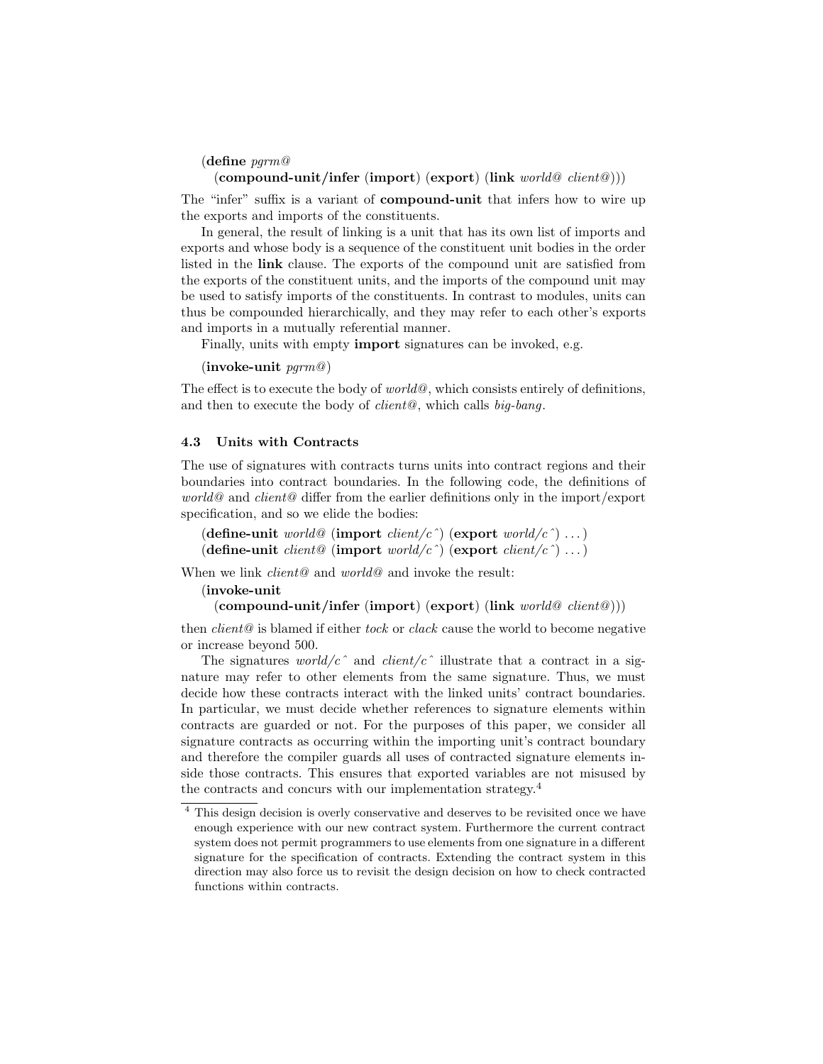(define pgrm@ (compound-unit/infer (import) (export) (link world@ client@)))

The "infer" suffix is a variant of **compound-unit** that infers how to wire up the exports and imports of the constituents.

In general, the result of linking is a unit that has its own list of imports and exports and whose body is a sequence of the constituent unit bodies in the order listed in the link clause. The exports of the compound unit are satisfied from the exports of the constituent units, and the imports of the compound unit may be used to satisfy imports of the constituents. In contrast to modules, units can thus be compounded hierarchically, and they may refer to each other's exports and imports in a mutually referential manner.

Finally, units with empty **import** signatures can be invoked, e.g.

 $(invoke-unit \text{ } pqrm@)$ 

The effect is to execute the body of  $world@$ , which consists entirely of definitions, and then to execute the body of client@, which calls big-bang.

#### 4.3 Units with Contracts

The use of signatures with contracts turns units into contract regions and their boundaries into contract boundaries. In the following code, the definitions of world@ and client@ differ from the earlier definitions only in the import/export specification, and so we elide the bodies:

```
(define-unit world@ (import client/c<sup>\hat{ }</sup>) (export world/c<sup>\hat{ }</sup>)...)
(define-unit client@ (import world/c^) (export client/c^) ...)
```
When we link *client*@ and *world*@ and invoke the result:

(invoke-unit

(compound-unit/infer (import) (export) (link world@ client@)))

then  $client@$  is blamed if either tock or clack cause the world to become negative or increase beyond 500.

The signatures world/c<sup> $\degree$ </sup> and client/c $\degree$  illustrate that a contract in a signature may refer to other elements from the same signature. Thus, we must decide how these contracts interact with the linked units' contract boundaries. In particular, we must decide whether references to signature elements within contracts are guarded or not. For the purposes of this paper, we consider all signature contracts as occurring within the importing unit's contract boundary and therefore the compiler guards all uses of contracted signature elements inside those contracts. This ensures that exported variables are not misused by the contracts and concurs with our implementation strategy.<sup>4</sup>

<sup>&</sup>lt;sup>4</sup> This design decision is overly conservative and deserves to be revisited once we have enough experience with our new contract system. Furthermore the current contract system does not permit programmers to use elements from one signature in a different signature for the specification of contracts. Extending the contract system in this direction may also force us to revisit the design decision on how to check contracted functions within contracts.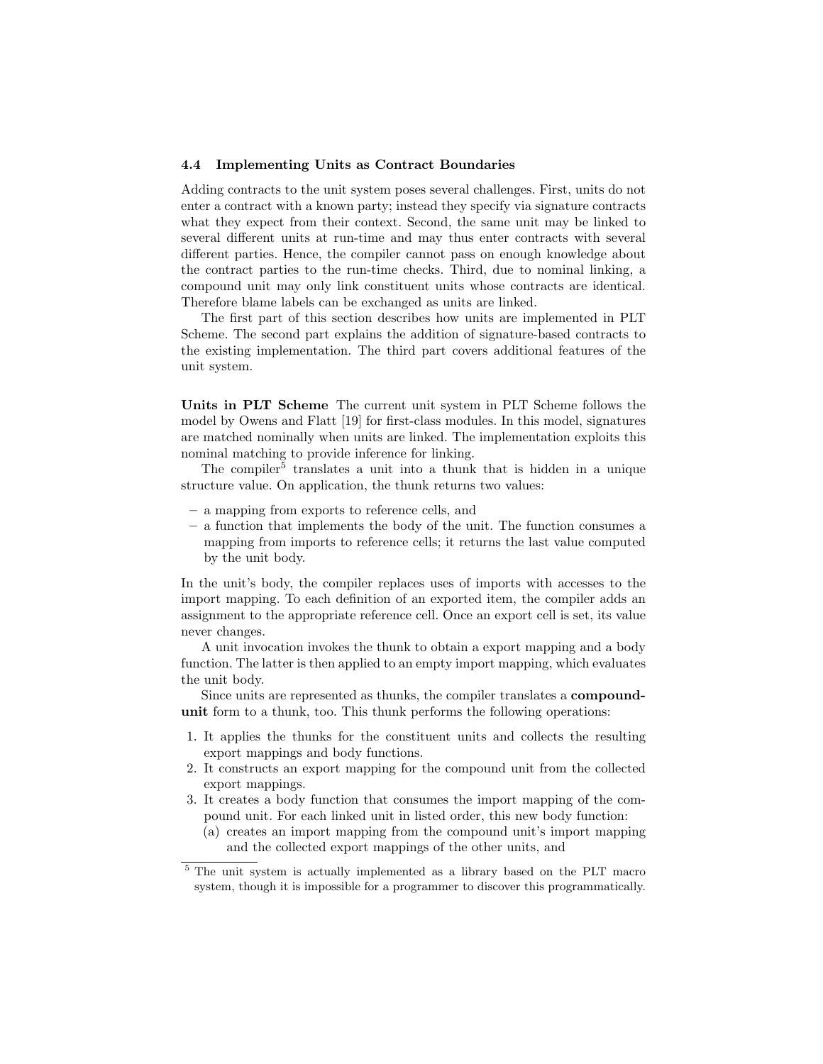#### 4.4 Implementing Units as Contract Boundaries

Adding contracts to the unit system poses several challenges. First, units do not enter a contract with a known party; instead they specify via signature contracts what they expect from their context. Second, the same unit may be linked to several different units at run-time and may thus enter contracts with several different parties. Hence, the compiler cannot pass on enough knowledge about the contract parties to the run-time checks. Third, due to nominal linking, a compound unit may only link constituent units whose contracts are identical. Therefore blame labels can be exchanged as units are linked.

The first part of this section describes how units are implemented in PLT Scheme. The second part explains the addition of signature-based contracts to the existing implementation. The third part covers additional features of the unit system.

Units in PLT Scheme The current unit system in PLT Scheme follows the model by Owens and Flatt [19] for first-class modules. In this model, signatures are matched nominally when units are linked. The implementation exploits this nominal matching to provide inference for linking.

The compiler<sup>5</sup> translates a unit into a thunk that is hidden in a unique structure value. On application, the thunk returns two values:

- a mapping from exports to reference cells, and
- a function that implements the body of the unit. The function consumes a mapping from imports to reference cells; it returns the last value computed by the unit body.

In the unit's body, the compiler replaces uses of imports with accesses to the import mapping. To each definition of an exported item, the compiler adds an assignment to the appropriate reference cell. Once an export cell is set, its value never changes.

A unit invocation invokes the thunk to obtain a export mapping and a body function. The latter is then applied to an empty import mapping, which evaluates the unit body.

Since units are represented as thunks, the compiler translates a compoundunit form to a thunk, too. This thunk performs the following operations:

- 1. It applies the thunks for the constituent units and collects the resulting export mappings and body functions.
- 2. It constructs an export mapping for the compound unit from the collected export mappings.
- 3. It creates a body function that consumes the import mapping of the compound unit. For each linked unit in listed order, this new body function:
	- (a) creates an import mapping from the compound unit's import mapping and the collected export mappings of the other units, and

<sup>5</sup> The unit system is actually implemented as a library based on the PLT macro system, though it is impossible for a programmer to discover this programmatically.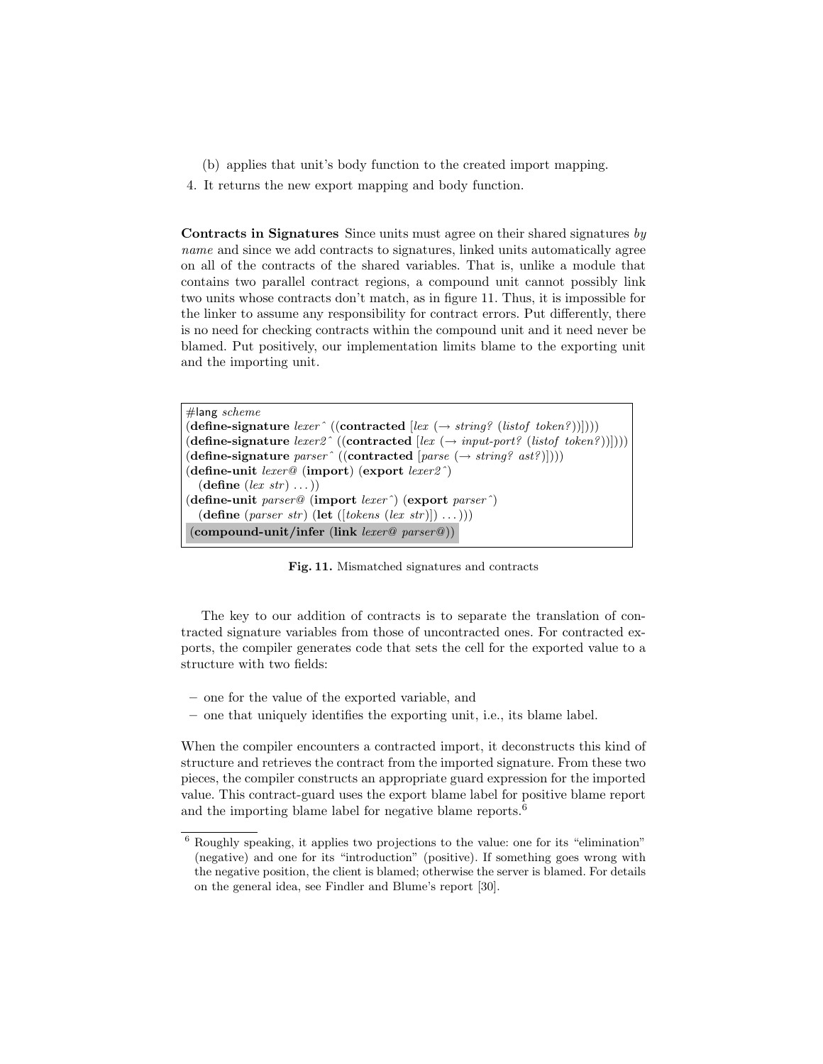- (b) applies that unit's body function to the created import mapping.
- 4. It returns the new export mapping and body function.

Contracts in Signatures Since units must agree on their shared signatures by name and since we add contracts to signatures, linked units automatically agree on all of the contracts of the shared variables. That is, unlike a module that contains two parallel contract regions, a compound unit cannot possibly link two units whose contracts don't match, as in figure 11. Thus, it is impossible for the linker to assume any responsibility for contract errors. Put differently, there is no need for checking contracts within the compound unit and it need never be blamed. Put positively, our implementation limits blame to the exporting unit and the importing unit.

```
#lang scheme
(define-signature lexer<sup>\hat{ } ((contracted [lex ( \rightarrow string? (listof token?))])))</sup>
(define-signature lexer2^ ((contracted [lex (\rightarrow input\text{-}port? (listof token?)]])))
(define-signature parser ((contracted [parse (\rightarrow string? ast?)]))))
(define-unit lexer@ (import) (export lexer2ˆ)
  (\text{define } (lex str) \dots))(define-unit parser@ (import lexer^) (export parser^)
  (\text{define } (parse \text{ str}) \text{ } (\text{let } ([tokens \text{ } (lex \text{ str})]) \text{ } ...)))(compound-unit/infer (link lexer@ parser@))
```
Fig. 11. Mismatched signatures and contracts

The key to our addition of contracts is to separate the translation of contracted signature variables from those of uncontracted ones. For contracted exports, the compiler generates code that sets the cell for the exported value to a structure with two fields:

- one for the value of the exported variable, and
- one that uniquely identifies the exporting unit, i.e., its blame label.

When the compiler encounters a contracted import, it deconstructs this kind of structure and retrieves the contract from the imported signature. From these two pieces, the compiler constructs an appropriate guard expression for the imported value. This contract-guard uses the export blame label for positive blame report and the importing blame label for negative blame reports.<sup>6</sup>

 $6$  Roughly speaking, it applies two projections to the value: one for its "elimination" (negative) and one for its "introduction" (positive). If something goes wrong with the negative position, the client is blamed; otherwise the server is blamed. For details on the general idea, see Findler and Blume's report [30].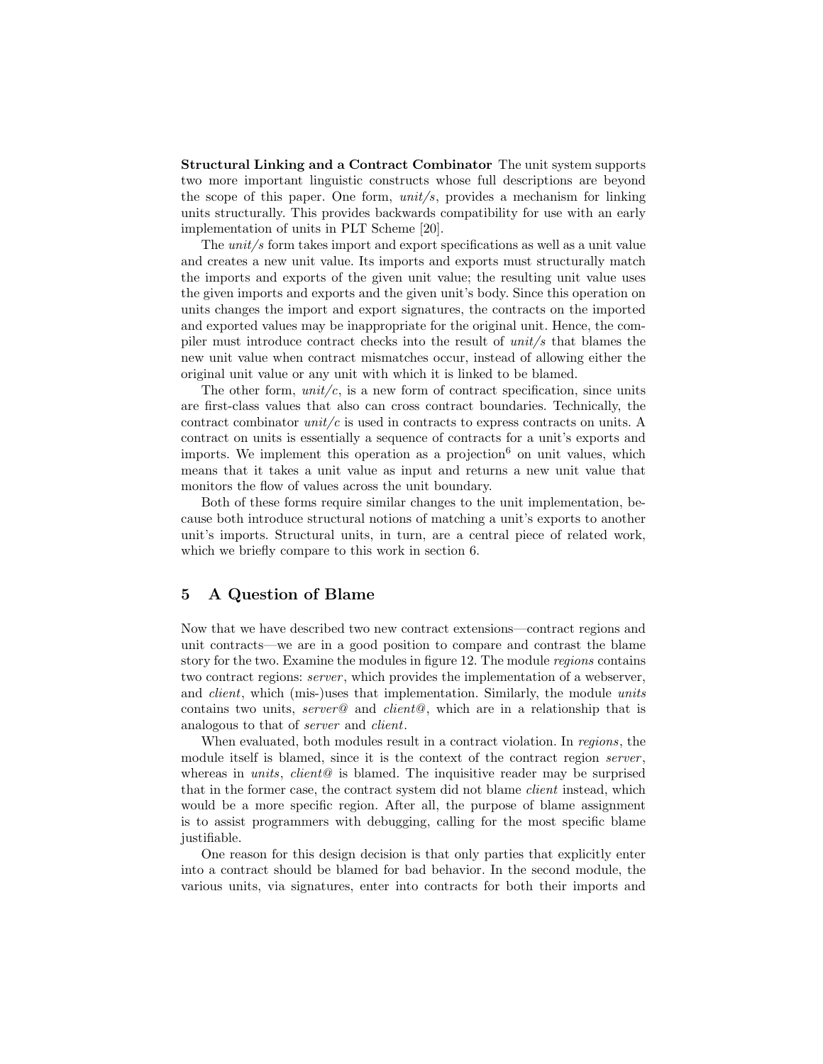Structural Linking and a Contract Combinator The unit system supports two more important linguistic constructs whose full descriptions are beyond the scope of this paper. One form,  $unit/s$ , provides a mechanism for linking units structurally. This provides backwards compatibility for use with an early implementation of units in PLT Scheme [20].

The *unit/s* form takes import and export specifications as well as a unit value and creates a new unit value. Its imports and exports must structurally match the imports and exports of the given unit value; the resulting unit value uses the given imports and exports and the given unit's body. Since this operation on units changes the import and export signatures, the contracts on the imported and exported values may be inappropriate for the original unit. Hence, the compiler must introduce contract checks into the result of  $unit/s$  that blames the new unit value when contract mismatches occur, instead of allowing either the original unit value or any unit with which it is linked to be blamed.

The other form,  $unit/c$ , is a new form of contract specification, since units are first-class values that also can cross contract boundaries. Technically, the contract combinator  $unit/c$  is used in contracts to express contracts on units. A contract on units is essentially a sequence of contracts for a unit's exports and imports. We implement this operation as a projection  $6$  on unit values, which means that it takes a unit value as input and returns a new unit value that monitors the flow of values across the unit boundary.

Both of these forms require similar changes to the unit implementation, because both introduce structural notions of matching a unit's exports to another unit's imports. Structural units, in turn, are a central piece of related work, which we briefly compare to this work in section 6.

# 5 A Question of Blame

Now that we have described two new contract extensions—contract regions and unit contracts—we are in a good position to compare and contrast the blame story for the two. Examine the modules in figure 12. The module regions contains two contract regions: *server*, which provides the implementation of a webserver, and *client*, which (mis-)uses that implementation. Similarly, the module *units* contains two units, server@ and client@, which are in a relationship that is analogous to that of server and client.

When evaluated, both modules result in a contract violation. In regions, the module itself is blamed, since it is the context of the contract region server, whereas in *units*, *client* $@$  is blamed. The inquisitive reader may be surprised that in the former case, the contract system did not blame *client* instead, which would be a more specific region. After all, the purpose of blame assignment is to assist programmers with debugging, calling for the most specific blame justifiable.

One reason for this design decision is that only parties that explicitly enter into a contract should be blamed for bad behavior. In the second module, the various units, via signatures, enter into contracts for both their imports and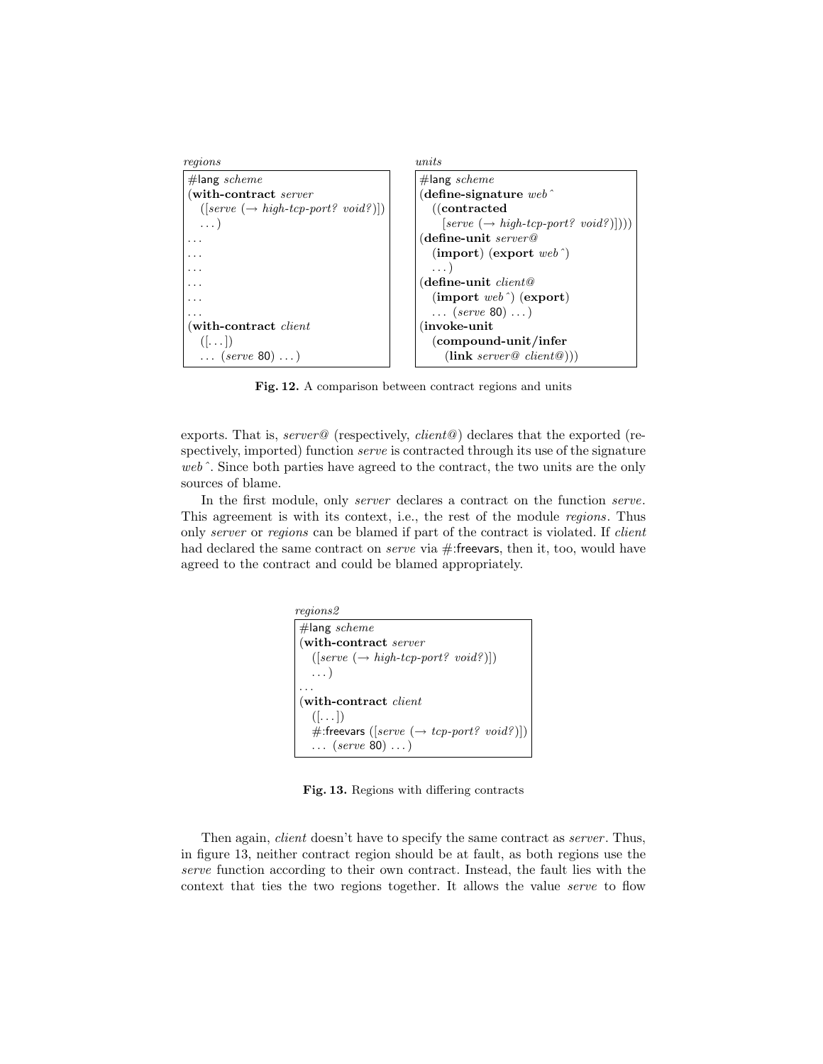

Fig. 12. A comparison between contract regions and units

exports. That is, server@ (respectively, client@) declares that the exported (respectively, imported) function *serve* is contracted through its use of the signature web<sup> $\hat{ }$ </sup>. Since both parties have agreed to the contract, the two units are the only sources of blame.

In the first module, only server declares a contract on the function serve. This agreement is with its context, i.e., the rest of the module regions. Thus only server or regions can be blamed if part of the contract is violated. If client had declared the same contract on *serve* via  $\#$ : freevars, then it, too, would have agreed to the contract and could be blamed appropriately.

```
regions2
#lang scheme
(with-contract server
   ([serve (\rightarrow high-top-port? void?)]). . . )
 . . .
(with-contract client
   ([...])#:freevars ([serve (\rightarrow tcp-port? void?)])
   \ldots (serve 80) \ldots)
```
Fig. 13. Regions with differing contracts

Then again, *client* doesn't have to specify the same contract as *server*. Thus, in figure 13, neither contract region should be at fault, as both regions use the serve function according to their own contract. Instead, the fault lies with the context that ties the two regions together. It allows the value serve to flow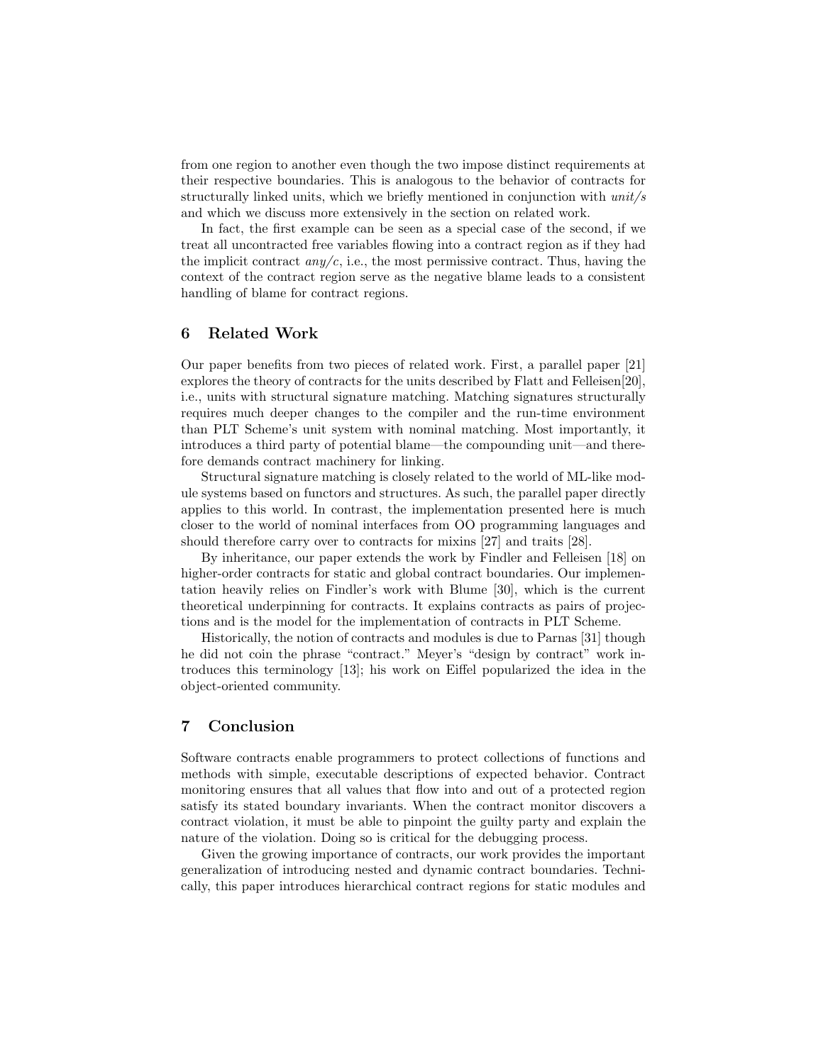from one region to another even though the two impose distinct requirements at their respective boundaries. This is analogous to the behavior of contracts for structurally linked units, which we briefly mentioned in conjunction with unit/s and which we discuss more extensively in the section on related work.

In fact, the first example can be seen as a special case of the second, if we treat all uncontracted free variables flowing into a contract region as if they had the implicit contract  $any/c$ , i.e., the most permissive contract. Thus, having the context of the contract region serve as the negative blame leads to a consistent handling of blame for contract regions.

## 6 Related Work

Our paper benefits from two pieces of related work. First, a parallel paper [21] explores the theory of contracts for the units described by Flatt and Felleisen[20], i.e., units with structural signature matching. Matching signatures structurally requires much deeper changes to the compiler and the run-time environment than PLT Scheme's unit system with nominal matching. Most importantly, it introduces a third party of potential blame—the compounding unit—and therefore demands contract machinery for linking.

Structural signature matching is closely related to the world of ML-like module systems based on functors and structures. As such, the parallel paper directly applies to this world. In contrast, the implementation presented here is much closer to the world of nominal interfaces from OO programming languages and should therefore carry over to contracts for mixins [27] and traits [28].

By inheritance, our paper extends the work by Findler and Felleisen [18] on higher-order contracts for static and global contract boundaries. Our implementation heavily relies on Findler's work with Blume [30], which is the current theoretical underpinning for contracts. It explains contracts as pairs of projections and is the model for the implementation of contracts in PLT Scheme.

Historically, the notion of contracts and modules is due to Parnas [31] though he did not coin the phrase "contract." Meyer's "design by contract" work introduces this terminology [13]; his work on Eiffel popularized the idea in the object-oriented community.

## 7 Conclusion

Software contracts enable programmers to protect collections of functions and methods with simple, executable descriptions of expected behavior. Contract monitoring ensures that all values that flow into and out of a protected region satisfy its stated boundary invariants. When the contract monitor discovers a contract violation, it must be able to pinpoint the guilty party and explain the nature of the violation. Doing so is critical for the debugging process.

Given the growing importance of contracts, our work provides the important generalization of introducing nested and dynamic contract boundaries. Technically, this paper introduces hierarchical contract regions for static modules and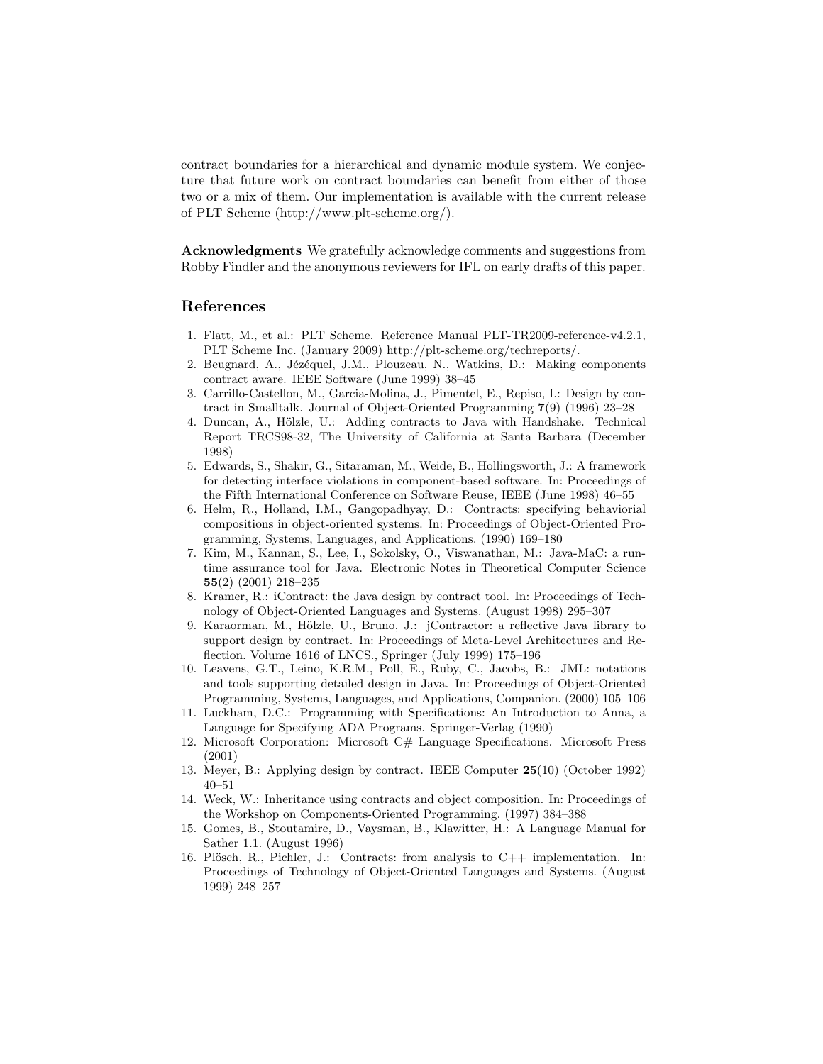contract boundaries for a hierarchical and dynamic module system. We conjecture that future work on contract boundaries can benefit from either of those two or a mix of them. Our implementation is available with the current release of PLT Scheme (http://www.plt-scheme.org/).

Acknowledgments We gratefully acknowledge comments and suggestions from Robby Findler and the anonymous reviewers for IFL on early drafts of this paper.

# References

- 1. Flatt, M., et al.: PLT Scheme. Reference Manual PLT-TR2009-reference-v4.2.1, PLT Scheme Inc. (January 2009) http://plt-scheme.org/techreports/.
- 2. Beugnard, A., Jézéquel, J.M., Plouzeau, N., Watkins, D.: Making components contract aware. IEEE Software (June 1999) 38–45
- 3. Carrillo-Castellon, M., Garcia-Molina, J., Pimentel, E., Repiso, I.: Design by contract in Smalltalk. Journal of Object-Oriented Programming 7(9) (1996) 23–28
- 4. Duncan, A., Hölzle, U.: Adding contracts to Java with Handshake. Technical Report TRCS98-32, The University of California at Santa Barbara (December 1998)
- 5. Edwards, S., Shakir, G., Sitaraman, M., Weide, B., Hollingsworth, J.: A framework for detecting interface violations in component-based software. In: Proceedings of the Fifth International Conference on Software Reuse, IEEE (June 1998) 46–55
- 6. Helm, R., Holland, I.M., Gangopadhyay, D.: Contracts: specifying behaviorial compositions in object-oriented systems. In: Proceedings of Object-Oriented Programming, Systems, Languages, and Applications. (1990) 169–180
- 7. Kim, M., Kannan, S., Lee, I., Sokolsky, O., Viswanathan, M.: Java-MaC: a runtime assurance tool for Java. Electronic Notes in Theoretical Computer Science 55(2) (2001) 218–235
- 8. Kramer, R.: iContract: the Java design by contract tool. In: Proceedings of Technology of Object-Oriented Languages and Systems. (August 1998) 295–307
- 9. Karaorman, M., Hölzle, U., Bruno, J.: jContractor: a reflective Java library to support design by contract. In: Proceedings of Meta-Level Architectures and Reflection. Volume 1616 of LNCS., Springer (July 1999) 175–196
- 10. Leavens, G.T., Leino, K.R.M., Poll, E., Ruby, C., Jacobs, B.: JML: notations and tools supporting detailed design in Java. In: Proceedings of Object-Oriented Programming, Systems, Languages, and Applications, Companion. (2000) 105–106
- 11. Luckham, D.C.: Programming with Specifications: An Introduction to Anna, a Language for Specifying ADA Programs. Springer-Verlag (1990)
- 12. Microsoft Corporation: Microsoft C# Language Specifications. Microsoft Press (2001)
- 13. Meyer, B.: Applying design by contract. IEEE Computer 25(10) (October 1992) 40–51
- 14. Weck, W.: Inheritance using contracts and object composition. In: Proceedings of the Workshop on Components-Oriented Programming. (1997) 384–388
- 15. Gomes, B., Stoutamire, D., Vaysman, B., Klawitter, H.: A Language Manual for Sather 1.1. (August 1996)
- 16. Plösch, R., Pichler, J.: Contracts: from analysis to C++ implementation. In: Proceedings of Technology of Object-Oriented Languages and Systems. (August 1999) 248–257